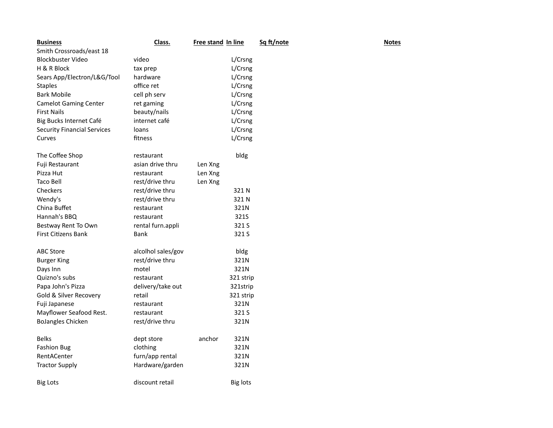| <b>Business</b>                    | Class.             | Free stand In line |                 | Sq ft/note | <b>Notes</b> |
|------------------------------------|--------------------|--------------------|-----------------|------------|--------------|
| Smith Crossroads/east 18           |                    |                    |                 |            |              |
| <b>Blockbuster Video</b>           | video              |                    | L/Crsng         |            |              |
| H & R Block                        | tax prep           |                    | L/Crsng         |            |              |
| Sears App/Electron/L&G/Tool        | hardware           |                    | L/Crsng         |            |              |
| <b>Staples</b>                     | office ret         |                    | L/Crsng         |            |              |
| <b>Bark Mobile</b>                 | cell ph serv       |                    | L/Crsng         |            |              |
| <b>Camelot Gaming Center</b>       | ret gaming         |                    | L/Crsng         |            |              |
| <b>First Nails</b>                 | beauty/nails       |                    | L/Crsng         |            |              |
| Big Bucks Internet Café            | internet café      |                    | L/Crsng         |            |              |
| <b>Security Financial Services</b> | loans              |                    | L/Crsng         |            |              |
| Curves                             | fitness            |                    | L/Crsng         |            |              |
| The Coffee Shop                    | restaurant         |                    | bldg            |            |              |
| Fuji Restaurant                    | asian drive thru   | Len Xng            |                 |            |              |
| Pizza Hut                          | restaurant         | Len Xng            |                 |            |              |
| Taco Bell                          | rest/drive thru    | Len Xng            |                 |            |              |
| Checkers                           | rest/drive thru    |                    | 321N            |            |              |
| Wendy's                            | rest/drive thru    |                    | 321N            |            |              |
| China Buffet                       | restaurant         |                    | 321N            |            |              |
| Hannah's BBQ                       | restaurant         |                    | 321S            |            |              |
| Bestway Rent To Own                | rental furn.appli  |                    | 321 S           |            |              |
| <b>First Citizens Bank</b>         | Bank               |                    | 321 S           |            |              |
| <b>ABC Store</b>                   | alcolhol sales/gov |                    | bldg            |            |              |
| <b>Burger King</b>                 | rest/drive thru    |                    | 321N            |            |              |
| Days Inn                           | motel              |                    | 321N            |            |              |
| Quizno's subs                      | restaurant         |                    | 321 strip       |            |              |
| Papa John's Pizza                  | delivery/take out  |                    | 321strip        |            |              |
| Gold & Silver Recovery             | retail             |                    | 321 strip       |            |              |
| Fuji Japanese                      | restaurant         |                    | 321N            |            |              |
| Mayflower Seafood Rest.            | restaurant         |                    | 321 S           |            |              |
| <b>BoJangles Chicken</b>           | rest/drive thru    |                    | 321N            |            |              |
| <b>Belks</b>                       | dept store         | anchor             | 321N            |            |              |
| <b>Fashion Bug</b>                 | clothing           |                    | 321N            |            |              |
| RentACenter                        | furn/app rental    |                    | 321N            |            |              |
| <b>Tractor Supply</b>              | Hardware/garden    |                    | 321N            |            |              |
| <b>Big Lots</b>                    | discount retail    |                    | <b>Big lots</b> |            |              |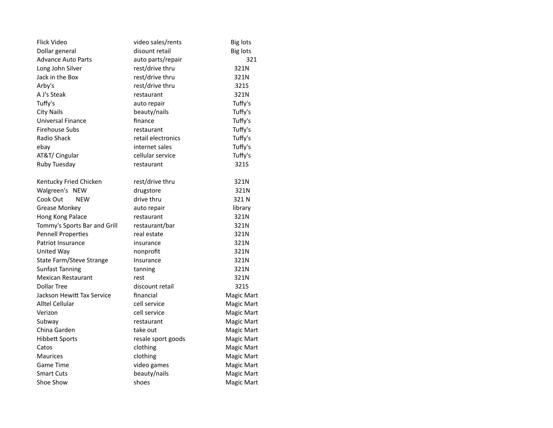| Flick Video                  | video sales/rents  | <b>Big lots</b> |
|------------------------------|--------------------|-----------------|
| Dollar general               | disount retail     | <b>Big lots</b> |
| <b>Advance Auto Parts</b>    | auto parts/repair  | 321             |
| Long John Silver             | rest/drive thru    | 321N            |
| Jack in the Box              | rest/drive thru    | 321N            |
| Arby's                       | rest/drive thru    | 321S            |
| A J's Steak                  | restaurant         | 321N            |
| Tuffy's                      | auto repair        | Tuffy's         |
| <b>City Nails</b>            | beauty/nails       | Tuffy's         |
| Universal Finance            | finance            | Tuffy's         |
| Firehouse Subs               | restaurant         | Tuffy's         |
| Radio Shack                  | retail electronics | Tuffy's         |
| ebay                         | internet sales     | Tuffy's         |
| AT&T/ Cingular               | cellular service   | Tuffy's         |
| Ruby Tuesday                 | restaurant         | 321S            |
| Kentucky Fried Chicken       | rest/drive thru    | 321N            |
| Walgreen's NEW               | drugstore          | 321N            |
| Cook Out<br><b>NEW</b>       | drive thru         | 321 N           |
| Grease Monkey                | auto repair        | library         |
| Hong Kong Palace             | restaurant         | 321N            |
| Tommy's Sports Bar and Grill | restaurant/bar     | 321N            |
| <b>Pennell Properties</b>    | real estate        | 321N            |
| Patriot Insurance            | insurance          | 321N            |
| United Way                   | nonprofit          | 321N            |
| State Farm/Steve Strange     | Insurance          | 321N            |
| <b>Sunfast Tanning</b>       | tanning            | 321N            |
| <b>Mexican Restaurant</b>    | rest               | 321N            |
| <b>Dollar Tree</b>           | discount retail    | 321S            |
| Jackson Hewitt Tax Service   | financial          | Magic Mart      |
| Alltel Cellular              | cell service       | Magic Mart      |
| Verizon                      | cell service       | Magic Mart      |
| Subway                       | restaurant         | Magic Mart      |
| China Garden                 | take out           | Magic Mart      |
| <b>Hibbett Sports</b>        | resale sport goods | Magic Mart      |
| Catos                        | clothing           | Magic Mart      |
| <b>Maurices</b>              | clothing           | Magic Mart      |
| <b>Game Time</b>             | video games        | Magic Mart      |
| <b>Smart Cuts</b>            | beauty/nails       | Magic Mart      |
| Shoe Show                    | shoes              | Magic Mart      |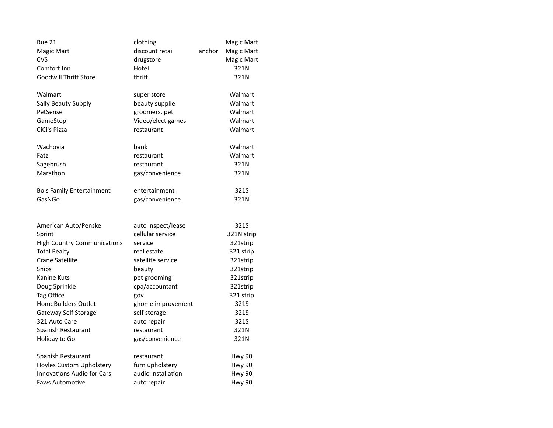| <b>Rue 21</b>                      | clothing           | anchor | Magic Mart |
|------------------------------------|--------------------|--------|------------|
| Magic Mart                         | discount retail    |        | Magic Mart |
| CVS                                | drugstore          |        | Magic Mart |
| Comfort Inn                        | Hotel              |        | 321N       |
| <b>Goodwill Thrift Store</b>       | thrift             |        | 321N       |
| Walmart                            | super store        |        | Walmart    |
| Sally Beauty Supply                | beauty supplie     |        | Walmart    |
| PetSense                           | groomers, pet      |        | Walmart    |
| GameStop                           | Video/elect games  |        | Walmart    |
| CiCi's Pizza                       | restaurant         |        | Walmart    |
| Wachovia                           | bank               |        | Walmart    |
| Fatz                               | restaurant         |        | Walmart    |
| Sagebrush                          | restaurant         |        | 321N       |
| Marathon                           | gas/convenience    |        | 321N       |
| <b>Bo's Family Entertainment</b>   | entertainment      |        | 321S       |
| GasNGo                             | gas/convenience    |        | 321N       |
| American Auto/Penske               | auto inspect/lease |        | 321S       |
| Sprint                             | cellular service   |        | 321N strip |
| <b>High Country Communications</b> | service            |        | 321strip   |
| <b>Total Realty</b>                | real estate        |        | 321 strip  |
| <b>Crane Satellite</b>             | satellite service  |        | 321strip   |
| Snips                              | beauty             |        | 321strip   |
| Kanine Kuts                        | pet grooming       |        | 321strip   |
| Doug Sprinkle                      | cpa/accountant     |        | 321strip   |
| Tag Office                         | gov                |        | 321 strip  |
| <b>HomeBuilders Outlet</b>         | ghome improvement  |        | 321S       |
| Gateway Self Storage               | self storage       |        | 321S       |
| 321 Auto Care                      | auto repair        |        | 321S       |
| Spanish Restaurant                 | restaurant         |        | 321N       |
| Holiday to Go                      | gas/convenience    |        | 321N       |
| Spanish Restaurant                 | restaurant         |        | Hwy 90     |
| Hoyles Custom Upholstery           | furn upholstery    |        | Hwy 90     |
| <b>Innovations Audio for Cars</b>  | audio installation |        | Hwy 90     |
| <b>Faws Automotive</b>             | auto repair        |        | Hwy 90     |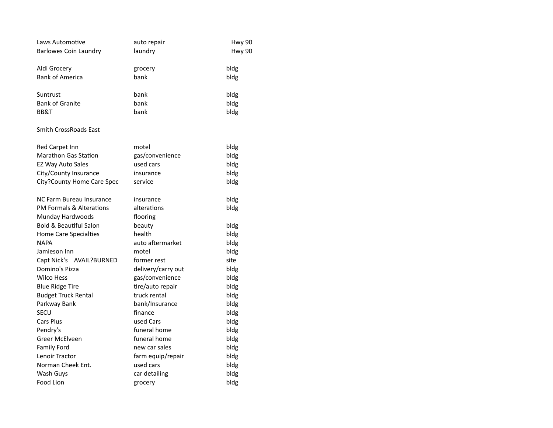| Laws Automotive                   | auto repair        | Hwy 90 |
|-----------------------------------|--------------------|--------|
| <b>Barlowes Coin Laundry</b>      | laundry            | Hwy 90 |
|                                   |                    |        |
| Aldi Grocery                      | grocery            | bldg   |
| <b>Bank of America</b>            | bank               | bldg   |
|                                   |                    |        |
| Suntrust                          | bank               | bldg   |
| <b>Bank of Granite</b>            | bank               | bldg   |
| BB&T                              | bank               | bldg   |
| <b>Smith CrossRoads East</b>      |                    |        |
| Red Carpet Inn                    | motel              | bldg   |
| <b>Marathon Gas Station</b>       | gas/convenience    | bldg   |
| EZ Way Auto Sales                 | used cars          | bldg   |
| City/County Insurance             | insurance          | bldg   |
| City?County Home Care Spec        | service            | bldg   |
|                                   |                    |        |
| NC Farm Bureau Insurance          | insurance          | bldg   |
| PM Formals & Alterations          | alterations        | bldg   |
| Munday Hardwoods                  | flooring           |        |
| <b>Bold &amp; Beautiful Salon</b> | beauty             | bldg   |
| <b>Home Care Specialties</b>      | health             | bldg   |
| <b>NAPA</b>                       | auto aftermarket   | bldg   |
| Jamieson Inn                      | motel              | bldg   |
| Capt Nick's AVAIL?BURNED          | former rest        | site   |
| Domino's Pizza                    | delivery/carry out | bldg   |
| <b>Wilco Hess</b>                 | gas/convenience    | bldg   |
| <b>Blue Ridge Tire</b>            | tire/auto repair   | bldg   |
| <b>Budget Truck Rental</b>        | truck rental       | bldg   |
| Parkway Bank                      | bank/Insurance     | bldg   |
| <b>SECU</b>                       | finance            | bldg   |
| Cars Plus                         | used Cars          | bldg   |
| Pendry's                          | funeral home       | bldg   |
| Greer McElveen                    | funeral home       | bldg   |
| <b>Family Ford</b>                | new car sales      | bldg   |
| Lenoir Tractor                    | farm equip/repair  | bldg   |
| Norman Cheek Ent.                 | used cars          | bldg   |
| Wash Guys                         | car detailing      | bldg   |
| Food Lion                         | grocery            | bldg   |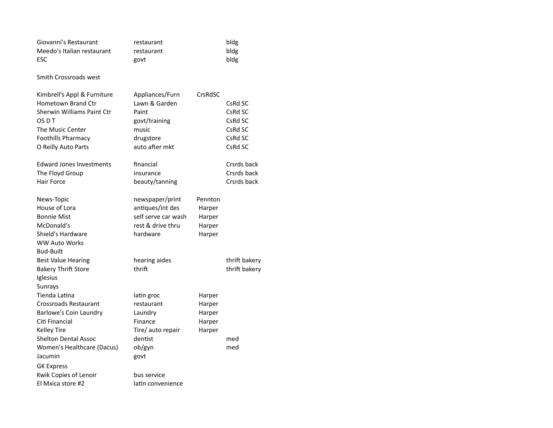| Giovanni's Restaurant<br>Meedo's Italian restaurant<br><b>ESC</b>                                                                                                            | restaurant<br>restaurant<br>govt                                                                   |                                                 | bldg<br>bldg<br>bldg                                           |
|------------------------------------------------------------------------------------------------------------------------------------------------------------------------------|----------------------------------------------------------------------------------------------------|-------------------------------------------------|----------------------------------------------------------------|
| Smith Crossroads west                                                                                                                                                        |                                                                                                    |                                                 |                                                                |
| Kimbrell's Appl & Furniture<br>Hometown Brand Ctr<br>Sherwin Williams Paint Ctr<br>OS D T<br>The Music Center<br><b>Foothills Pharmacy</b><br>O Reilly Auto Parts            | Appliances/Furn<br>Lawn & Garden<br>Paint<br>govt/training<br>music<br>drugstore<br>auto after mkt | CrsRdSC                                         | CsRd SC<br>CsRd SC<br>CsRd SC<br>CsRd SC<br>CsRd SC<br>CsRd SC |
| <b>Edward Jones Investments</b><br>The Floyd Group<br>Hair Force                                                                                                             | financial<br>insurance<br>beauty/tanning                                                           |                                                 | Crsrds back<br>Crsrds back<br>Crsrds back                      |
| News-Topic<br>House of Lora<br><b>Bonnie Mist</b><br>McDonald's<br>Shield's Hardware<br><b>WW Auto Works</b><br><b>Bud-Built</b>                                             | newspaper/print<br>antiques/int des<br>self serve car wash<br>rest & drive thru<br>hardware        | Pennton<br>Harper<br>Harper<br>Harper<br>Harper |                                                                |
| <b>Best Value Hearing</b><br><b>Bakery Thrift Store</b><br>Iglesius<br>Sunrays                                                                                               | hearing aides<br>thrift                                                                            |                                                 | thrift bakery<br>thrift bakery                                 |
| Tienda Latina<br><b>Crossroads Restaurant</b><br>Barlowe's Coin Laundry<br>Citi Financial<br><b>Kelley Tire</b><br><b>Shelton Dental Assoc</b><br>Women's Healthcare (Dacus) | latin groc<br>restaurant<br>Laundry<br>Finance<br>Tire/ auto repair<br>dentist<br>ob/gyn           | Harper<br>Harper<br>Harper<br>Harper<br>Harper  | med<br>med                                                     |
| Jacumin<br><b>GK Express</b><br>Kwik Copies of Lenoir<br>El Mxica store #2                                                                                                   | govt<br>bus service<br>latin convenience                                                           |                                                 |                                                                |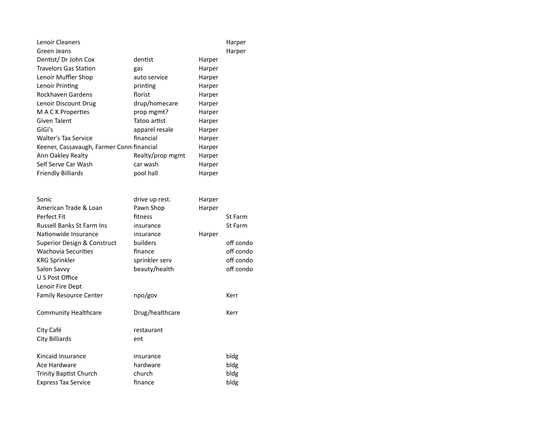| Lenoir Cleaners<br>Green Jeans            |                  |        | Harper<br>Harper |
|-------------------------------------------|------------------|--------|------------------|
| Dentist/Dr John Cox                       | dentist          | Harper |                  |
| <b>Travelors Gas Station</b>              | gas              | Harper |                  |
| Lenoir Muffler Shop                       | auto service     | Harper |                  |
| Lenoir Printing                           | printing         | Harper |                  |
| Rockhaven Gardens                         | florist          | Harper |                  |
| Lenoir Discount Drug                      | drup/homecare    | Harper |                  |
| M A C K Properties                        | prop mgmt?       | Harper |                  |
| Given Talent                              | Tatoo artist     | Harper |                  |
| GiGi's                                    | apparel resale   | Harper |                  |
| <b>Walter's Tax Service</b>               | financial        | Harper |                  |
| Keener, Cassavaugh, Farmer Conn financial |                  | Harper |                  |
| Ann Oakley Realty                         | Realty/prop mgmt | Harper |                  |
| Self Serve Car Wash                       | car wash         | Harper |                  |
| <b>Friendly Billiards</b>                 | pool hall        | Harper |                  |
|                                           |                  |        |                  |
| Sonic                                     | drive up rest.   | Harper |                  |
| American Trade & Loan                     | Pawn Shop        | Harper |                  |
| Perfect Fit                               | fitness          |        | St Farm          |
| <b>Russell Banks St Farm Ins</b>          | insurance        |        | St Farm          |
| Nationwide Insurance                      | insurance        | Harper |                  |
| Superior Design & Construct               | builders         |        | off condo        |
| <b>Wachovia Securities</b>                | finance          |        | off condo        |
| <b>KRG Sprinkler</b>                      | sprinkler serv   |        | off condo        |
| Salon Savvy                               | beauty/health    |        | off condo        |
| U S Post Office                           |                  |        |                  |
| Lenoir Fire Dept                          |                  |        |                  |
| <b>Family Resource Center</b>             | npo/gov          |        | Kerr             |
| <b>Community Healthcare</b>               | Drug/healthcare  |        | Kerr             |
| City Café                                 | restaurant       |        |                  |
| City Billiards                            | ent              |        |                  |
| Kincaid Insurance                         | insurance        |        | bldg             |
| Ace Hardware                              | hardware         |        | bldg             |
| <b>Trinity Baptist Church</b>             | church           |        | bldg             |
| <b>Express Tax Service</b>                | finance          |        | bldg             |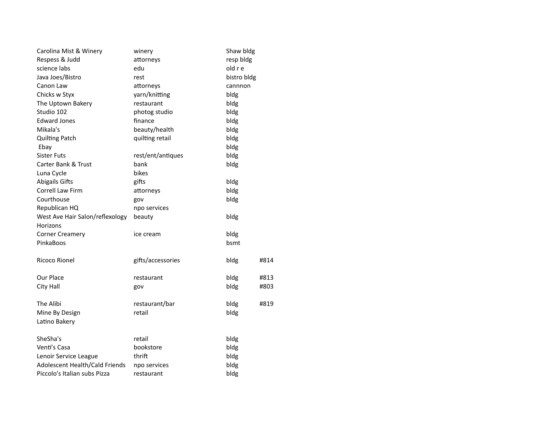| Carolina Mist & Winery          | winery            | Shaw bldg   |      |
|---------------------------------|-------------------|-------------|------|
| Respess & Judd                  | attorneys         | resp bldg   |      |
| science labs                    | edu               | old r e     |      |
| Java Joes/Bistro                | rest              | bistro bldg |      |
| Canon Law                       | attorneys         | cannnon     |      |
| Chicks w Styx                   | yarn/knitting     | bldg        |      |
| The Uptown Bakery               | restaurant        | bldg        |      |
| Studio 102                      | photog studio     | bldg        |      |
| <b>Edward Jones</b>             | finance           | bldg        |      |
| Mikala's                        | beauty/health     | bldg        |      |
| <b>Quilting Patch</b>           | quilting retail   | bldg        |      |
| Ebay                            |                   | bldg        |      |
| <b>Sister Futs</b>              | rest/ent/antiques | bldg        |      |
| <b>Carter Bank &amp; Trust</b>  | bank              | bldg        |      |
| Luna Cycle                      | bikes             |             |      |
| <b>Abigails Gifts</b>           | gifts             | bldg        |      |
| Correll Law Firm                | attorneys         | bldg        |      |
| Courthouse                      | gov               | bldg        |      |
| Republican HQ                   | npo services      |             |      |
| West Ave Hair Salon/reflexology | beauty            | bldg        |      |
| Horizons                        |                   |             |      |
| <b>Corner Creamery</b>          | ice cream         | bldg        |      |
| PinkaBoos                       |                   | bsmt        |      |
| Ricoco Rionel                   | gifts/accessories | bldg        | #814 |
| Our Place                       | restaurant        | bldg        | #813 |
| City Hall                       | gov               | bldg        | #803 |
| The Alibi                       | restaurant/bar    | bldg        | #819 |
| Mine By Design                  | retail            | bldg        |      |
| Latino Bakery                   |                   |             |      |
| SheSha's                        | retail            | bldg        |      |
| Venti's Casa                    | bookstore         | bldg        |      |
| Lenoir Service League           | thrift            | bldg        |      |
| Adolescent Health/Cald Friends  | npo services      | bldg        |      |
| Piccolo's Italian subs Pizza    | restaurant        | bldg        |      |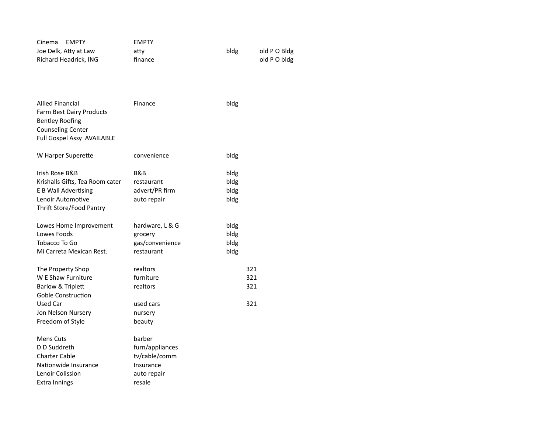| <b>EMPTY</b><br>Cinema                             | <b>EMPTY</b>               |              |              |
|----------------------------------------------------|----------------------------|--------------|--------------|
| Joe Delk, Atty at Law                              | atty                       | bldg         | old P O Bldg |
| Richard Headrick, ING                              | finance                    |              | old PO bldg  |
|                                                    |                            |              |              |
|                                                    |                            |              |              |
|                                                    |                            |              |              |
|                                                    |                            |              |              |
| <b>Allied Financial</b>                            | Finance                    | bldg         |              |
| Farm Best Dairy Products<br><b>Bentley Roofing</b> |                            |              |              |
| <b>Counseling Center</b>                           |                            |              |              |
| Full Gospel Assy AVAILABLE                         |                            |              |              |
|                                                    |                            |              |              |
| W Harper Superette                                 | convenience                | bldg         |              |
|                                                    |                            |              |              |
| Irish Rose B&B                                     | B&B                        | bldg         |              |
| Krishalls Gifts, Tea Room cater                    | restaurant                 | bldg         |              |
| E B Wall Advertising                               | advert/PR firm             | bldg         |              |
| Lenoir Automotive                                  | auto repair                | bldg         |              |
| Thrift Store/Food Pantry                           |                            |              |              |
|                                                    |                            |              |              |
| Lowes Home Improvement<br>Lowes Foods              | hardware, L & G            | bldg         |              |
| Tobacco To Go                                      | grocery<br>gas/convenience | bldg<br>bldg |              |
| Mi Carreta Mexican Rest.                           | restaurant                 |              |              |
|                                                    |                            | bldg         |              |
| The Property Shop                                  | realtors                   | 321          |              |
| W E Shaw Furniture                                 | furniture                  | 321          |              |
| <b>Barlow &amp; Triplett</b>                       | realtors                   | 321          |              |
| Goble Construction                                 |                            |              |              |
| Used Car                                           | used cars                  | 321          |              |
| Jon Nelson Nursery                                 | nursery                    |              |              |
| Freedom of Style                                   | beauty                     |              |              |
|                                                    |                            |              |              |
| <b>Mens Cuts</b>                                   | barber                     |              |              |
| D D Suddreth                                       | furn/appliances            |              |              |
| <b>Charter Cable</b>                               | tv/cable/comm              |              |              |
| Nationwide Insurance                               | Insurance                  |              |              |
| Lenoir Colission                                   | auto repair                |              |              |
| Extra Innings                                      | resale                     |              |              |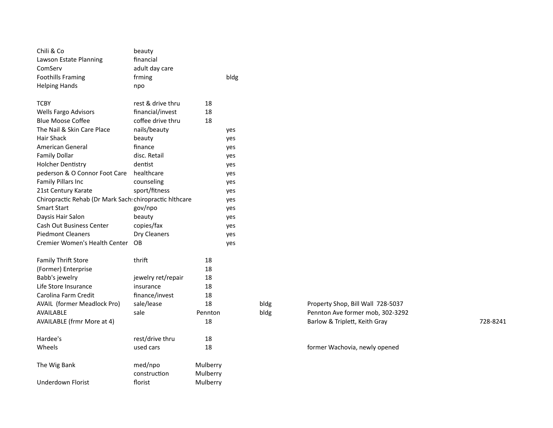| Chili & Co                                              | beauty             |          |      |      |                                   |          |
|---------------------------------------------------------|--------------------|----------|------|------|-----------------------------------|----------|
| Lawson Estate Planning                                  | financial          |          |      |      |                                   |          |
| ComServ                                                 | adult day care     |          |      |      |                                   |          |
| <b>Foothills Framing</b>                                | frming             |          | bldg |      |                                   |          |
| <b>Helping Hands</b>                                    | npo                |          |      |      |                                   |          |
| <b>TCBY</b>                                             | rest & drive thru  | 18       |      |      |                                   |          |
| Wells Fargo Advisors                                    | financial/invest   | 18       |      |      |                                   |          |
| <b>Blue Moose Coffee</b>                                | coffee drive thru  | 18       |      |      |                                   |          |
| The Nail & Skin Care Place                              | nails/beauty       |          | yes  |      |                                   |          |
| Hair Shack                                              | beauty             |          | yes  |      |                                   |          |
| American General                                        | finance            |          | yes  |      |                                   |          |
| <b>Family Dollar</b>                                    | disc. Retail       |          | yes  |      |                                   |          |
| <b>Holcher Dentistry</b>                                | dentist            |          | yes  |      |                                   |          |
| pederson & O Connor Foot Care                           | healthcare         |          | yes  |      |                                   |          |
| Family Pillars Inc                                      | counseling         |          | yes  |      |                                   |          |
| 21st Century Karate                                     | sport/fitness      |          | yes  |      |                                   |          |
| Chiropractic Rehab (Dr Mark Sach: chiropractic hlthcare |                    |          | yes  |      |                                   |          |
| <b>Smart Start</b>                                      | gov/npo            |          | yes  |      |                                   |          |
| Daysis Hair Salon                                       | beauty             |          | yes  |      |                                   |          |
| Cash Out Business Center                                | copies/fax         |          | yes  |      |                                   |          |
| <b>Piedmont Cleaners</b>                                | Dry Cleaners       |          | yes  |      |                                   |          |
| Cremier Women's Health Center                           | OB                 |          | yes  |      |                                   |          |
| Family Thrift Store                                     | thrift             | 18       |      |      |                                   |          |
| (Former) Enterprise                                     |                    | 18       |      |      |                                   |          |
| Babb's jewelry                                          | jewelry ret/repair | 18       |      |      |                                   |          |
| Life Store Insurance                                    | insurance          | 18       |      |      |                                   |          |
| Carolina Farm Credit                                    | finance/invest     | 18       |      |      |                                   |          |
| AVAIL (former Meadlock Pro)                             | sale/lease         | 18       |      | bldg | Property Shop, Bill Wall 728-5037 |          |
| AVAILABLE                                               | sale               | Pennton  |      | bldg | Pennton Ave former mob, 302-3292  |          |
| <b>AVAILABLE (frmr More at 4)</b>                       |                    | 18       |      |      | Barlow & Triplett, Keith Gray     | 728-8241 |
| Hardee's                                                | rest/drive thru    | 18       |      |      |                                   |          |
| Wheels                                                  | used cars          | 18       |      |      | former Wachovia, newly opened     |          |
| The Wig Bank                                            | med/npo            | Mulberry |      |      |                                   |          |
|                                                         | construction       | Mulberry |      |      |                                   |          |
| <b>Underdown Florist</b>                                | florist            | Mulberry |      |      |                                   |          |

| Property Shop, Bill Wall 728-5037 |  |
|-----------------------------------|--|
| Pennton Ave former mob. 302-3292  |  |
| Barlow & Triplett, Keith Gray     |  |
|                                   |  |

## former Wachovia, newly opened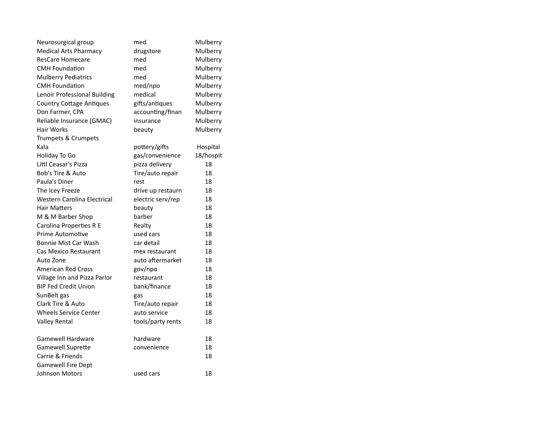| Neurosurgical group                | med               | Mulberry  |
|------------------------------------|-------------------|-----------|
| <b>Medical Arts Pharmacy</b>       | drugstore         | Mulberry  |
| <b>ResCare Homecare</b>            | med               | Mulberry  |
| <b>CMH Foundation</b>              | med               | Mulberry  |
| <b>Mulberry Pediatrics</b>         | med               | Mulberry  |
| <b>CMH Foundation</b>              | med/npo           | Mulberry  |
| Lenoir Professional Building       | medical           | Mulberry  |
| <b>Country Cottage Antiques</b>    | gifts/antiques    | Mulberry  |
| Don Farmer, CPA                    | accounting/finan  | Mulberry  |
| Reliable Insurance (GMAC)          | insurance         | Mulberry  |
| Hair Works                         | beauty            | Mulberry  |
| Trumpets & Crumpets                |                   |           |
| Kala                               | pottery/gifts     | Hospital  |
| Holiday To Go                      | gas/convenience   | 18/hospit |
| Littl Ceasar's Pizza               | pizza delivery    | 18        |
| Bob's Tire & Auto                  | Tire/auto repair  | 18        |
| Paula's Diner                      | rest              | 18        |
| The Icey Freeze                    | drive up restaurn | 18        |
| <b>Western Carolina Electrical</b> | electric serv/rep | 18        |
| <b>Hair Matters</b>                | beauty            | 18        |
| M & M Barber Shop                  | barber            | 18        |
| Carolina Properties R E            | Realty            | 18        |
| <b>Prime Automotive</b>            | used cars         | 18        |
| <b>Bonnie Mist Car Wash</b>        | car detail        | 18        |
| Cas Mexico Restaurant              | mex restaurant    | 18        |
| Auto Zone                          | auto aftermarket  | 18        |
| <b>American Red Cross</b>          | gov/npo           | 18        |
| Village Inn and Pizza Parlor       | restaurant        | 18        |
| <b>BIP Fed Credit Union</b>        | bank/finance      | 18        |
| SunBelt gas                        | gas               | 18        |
| Clark Tire & Auto                  | Tire/auto repair  | 18        |
| <b>Wheels Service Center</b>       | auto service      | 18        |
| <b>Valley Rental</b>               | tools/party rents | 18        |
| <b>Gamewell Hardware</b>           | hardware          | 18        |
| <b>Gamewell Suprette</b>           | convenience       | 18        |
| Carrie & Friends                   |                   | 18        |
| <b>Gamewell Fire Dept</b>          |                   |           |
| <b>Johnson Motors</b>              | used cars         | 18        |